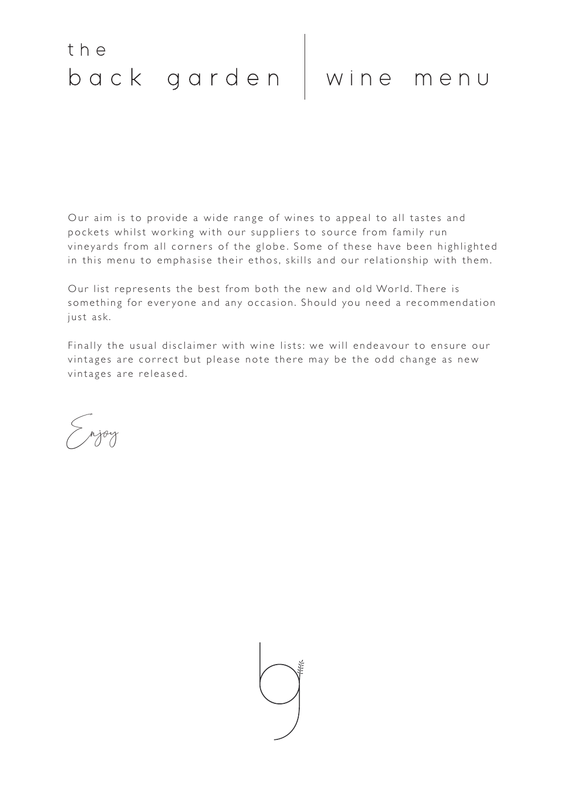Our aim is to provide a wide range of wines to appeal to all tastes and pockets whilst working with our suppliers to source from family run vineyards from all corners of the globe. Some of these have been highlighted in this menu to emphasise their ethos, skills and our relationship with them.

Our list represents the best from both the new and old World. There is something for everyone and any occasion. Should you need a recommendation just ask.

Finally the usual disclaimer with wine lists: we will endeavour to ensure our vintages are correct but please note there may be the odd change as new vintages are released.

Enjoy

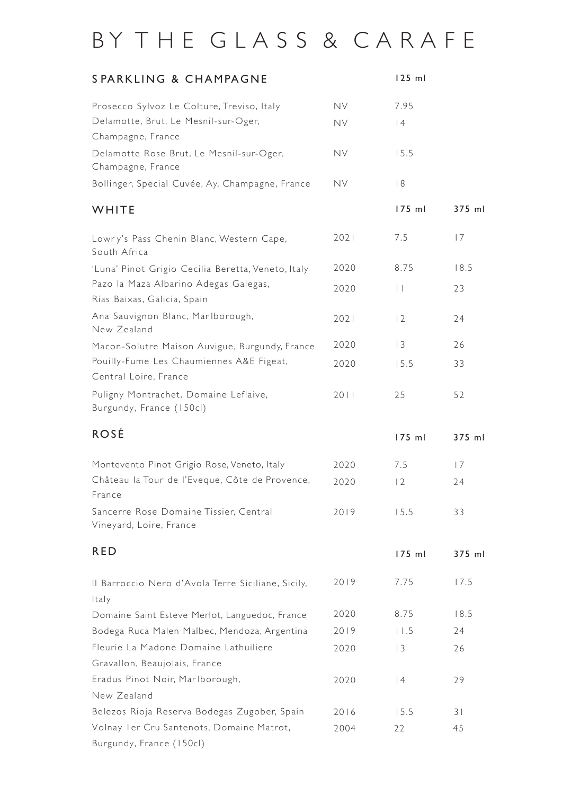# BY THE GLASS & CARAFE

| SPARKLING & CHAMPAGNE                                                |           | $125$ ml        |                |
|----------------------------------------------------------------------|-----------|-----------------|----------------|
| Prosecco Sylvoz Le Colture, Treviso, Italy                           | <b>NV</b> | 7.95            |                |
| Delamotte, Brut, Le Mesnil-sur-Oger,<br>Champagne, France            | <b>NV</b> | 4               |                |
| Delamotte Rose Brut, Le Mesnil-sur-Oger,<br>Champagne, France        | <b>NV</b> | 15.5            |                |
| Bollinger, Special Cuvée, Ay, Champagne, France                      | <b>NV</b> | 8               |                |
| WHITE                                                                |           | 175 ml          | 375 ml         |
| Lowry's Pass Chenin Blanc, Western Cape,<br>South Africa             | 2021      | 7.5             | 7              |
| 'Luna' Pinot Grigio Cecilia Beretta, Veneto, Italy                   | 2020      | 8.75            | 18.5           |
| Pazo la Maza Albarino Adegas Galegas,<br>Rias Baixas, Galicia, Spain | 2020      | $\vert \ \vert$ | 23             |
| Ana Sauvignon Blanc, Marlborough,<br>New Zealand                     | 2021      | 12              | 24             |
| Macon-Solutre Maison Auvigue, Burgundy, France                       | 2020      | 3               | 26             |
| Pouilly-Fume Les Chaumiennes A&E Figeat,<br>Central Loire, France    | 2020      | 15.5            | 33             |
| Puligny Montrachet, Domaine Leflaive,<br>Burgundy, France (150cl)    | 2011      | 25              | 52             |
| <b>ROSÉ</b>                                                          |           | 175 ml          | 375 ml         |
| Montevento Pinot Grigio Rose, Veneto, Italy                          | 2020      | 7.5             | 7              |
| Château la Tour de l'Eveque, Côte de Provence,<br>France             | 2020      | 12              | 24             |
| Sancerre Rose Domaine Tissier, Central<br>Vineyard, Loire, France    | 2019      | 15.5            | 33             |
| <b>RED</b>                                                           |           | 175 ml          | 375 ml         |
| Il Barroccio Nero d'Avola Terre Siciliane, Sicily,<br>Italy          | 2019      | 7.75            | 17.5           |
| Domaine Saint Esteve Merlot, Languedoc, France                       | 2020      | 8.75            | 18.5           |
| Bodega Ruca Malen Malbec, Mendoza, Argentina                         | 2019      | 11.5            | 24             |
| Fleurie La Madone Domaine Lathuiliere                                | 2020      | 3               | 26             |
| Gravallon, Beaujolais, France                                        |           |                 |                |
| Eradus Pinot Noir, Marlborough,                                      | 2020      | 4               | 29             |
| New Zealand                                                          |           |                 |                |
| Belezos Rioja Reserva Bodegas Zugober, Spain                         | 2016      | 15.5            | 3 <sup>1</sup> |
| Volnay Ier Cru Santenots, Domaine Matrot,                            | 2004      | 22              | 45             |
| Burgundy, France (150cl)                                             |           |                 |                |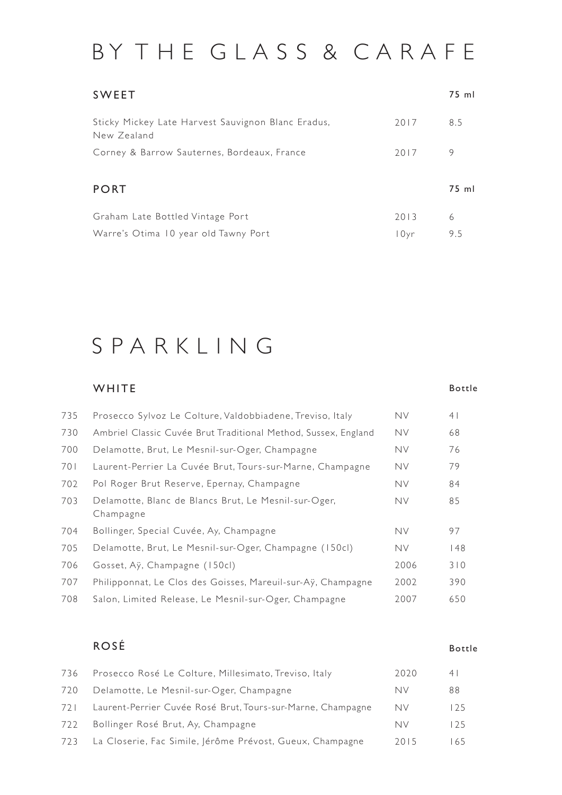# BY THE GLASS & CARAFE

| <b>SWEET</b>                                                      |      | 75 ml |
|-------------------------------------------------------------------|------|-------|
| Sticky Mickey Late Harvest Sauvignon Blanc Eradus,<br>New Zealand | 2017 | 8.5   |
| Corney & Barrow Sauternes, Bordeaux, France                       | 2017 | 9     |
|                                                                   |      |       |
| <b>PORT</b>                                                       |      | 75 ml |
| Graham Late Bottled Vintage Port                                  | 2013 | 6     |
| Warre's Otima 10 year old Tawny Port                              | 10yr | 9.5   |

### S P A R K L I N G

#### **WHITE** Prosecco Sylvoz Le Colture, Valdobbiadene, Treviso, Italy Ambriel Classic Cuvée Brut Traditional Method, Sussex, England Delamotte, Brut, Le Mesnil-sur-Oger, Champagne Laurent-Perrier La Cuvée Brut, Tours-sur-Marne, Champagne Bottle NV NV NV NV 735 730 700 701 41 68 76 79

| 702 | Pol Roger Brut Reserve, Epernay, Champagne                        | <b>NV</b> | 84  |
|-----|-------------------------------------------------------------------|-----------|-----|
| 703 | Delamotte, Blanc de Blancs Brut, Le Mesnil-sur-Oger,<br>Champagne | <b>NV</b> | 85  |
| 704 | Bollinger, Special Cuvée, Ay, Champagne                           | <b>NV</b> | 97  |
| 705 | Delamotte, Brut, Le Mesnil-sur-Oger, Champagne (150cl)            | <b>NV</b> | 48  |
| 706 | Gosset, Aÿ, Champagne (150cl)                                     | 2006      | 310 |
| 707 | Philipponnat, Le Clos des Goisses, Mareuil-sur-Ay, Champagne      | 2002      | 390 |
| 708 | Salon, Limited Release, Le Mesnil-sur-Oger, Champagne             | 2007      | 650 |

### ROSÉ

#### Bottle

| 736 | Prosecco Rosé Le Colture, Millesimato, Treviso, Italy         | 2020    | 4    |
|-----|---------------------------------------------------------------|---------|------|
| 720 | Delamotte, Le Mesnil-sur-Oger, Champagne                      | NV      | 88   |
| 721 | Laurent-Perrier Cuvée Rosé Brut, Tours-sur-Marne, Champagne   | .<br>Nv | 125  |
| 722 | Bollinger Rosé Brut, Ay, Champagne                            | NV      | 125. |
|     | 723 La Closerie, Fac Simile, Jérôme Prévost, Gueux, Champagne | 2015    | 65   |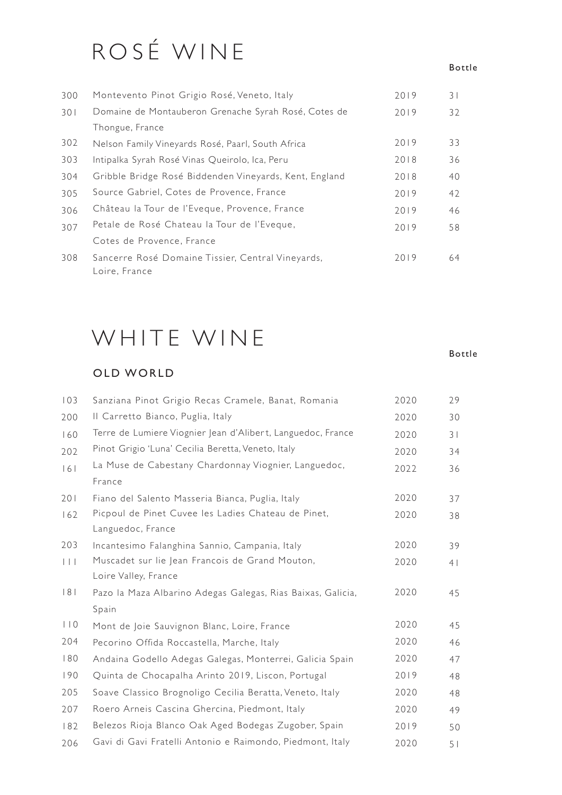# ROSÉ WINE

#### Bottle

Bottle

| 300 | Montevento Pinot Grigio Rosé, Veneto, Italy                        | 2019 | 31 |
|-----|--------------------------------------------------------------------|------|----|
| 301 | Domaine de Montauberon Grenache Syrah Rosé, Cotes de               | 2019 | 32 |
|     | Thongue, France                                                    |      |    |
| 302 | Nelson Family Vineyards Rosé, Paarl, South Africa                  | 2019 | 33 |
| 303 | Intipalka Syrah Rosé Vinas Queirolo, Ica, Peru                     | 2018 | 36 |
| 304 | Gribble Bridge Rosé Biddenden Vineyards, Kent, England             | 2018 | 40 |
| 305 | Source Gabriel, Cotes de Provence, France                          | 2019 | 42 |
| 306 | Château la Tour de l'Eveque, Provence, France                      | 2019 | 46 |
| 307 | Petale de Rosé Chateau la Tour de l'Eveque,                        | 2019 | 58 |
|     | Cotes de Provence, France                                          |      |    |
| 308 | Sancerre Rosé Domaine Tissier, Central Vineyards,<br>Loire, France | 2019 | 64 |

### WHITE WINE

### OLD WORLD

| 103       | Sanziana Pinot Grigio Recas Cramele, Banat, Romania         | 2020 | 29 |
|-----------|-------------------------------------------------------------|------|----|
| 200       | Il Carretto Bianco, Puglia, Italy                           | 2020 | 30 |
| 160       | Terre de Lumiere Viognier Jean d'Alibert, Languedoc, France | 2020 | 31 |
| 202       | Pinot Grigio 'Luna' Cecilia Beretta, Veneto, Italy          | 2020 | 34 |
| 161       | La Muse de Cabestany Chardonnay Viognier, Languedoc,        | 2022 | 36 |
|           | France                                                      |      |    |
| 201       | Fiano del Salento Masseria Bianca, Puglia, Italy            | 2020 | 37 |
| 162       | Picpoul de Pinet Cuvee les Ladies Chateau de Pinet,         | 2020 | 38 |
|           | Languedoc, France                                           |      |    |
| 203       | Incantesimo Falanghina Sannio, Campania, Italy              | 2020 | 39 |
| $  \  $   | Muscadet sur lie Jean Francois de Grand Mouton,             | 2020 | 4  |
|           | Loire Valley, France                                        |      |    |
| 8         | Pazo la Maza Albarino Adegas Galegas, Rias Baixas, Galicia, | 2020 | 45 |
|           | Spain                                                       |      |    |
| $ $ $ $ 0 | Mont de Joie Sauvignon Blanc, Loire, France                 | 2020 | 45 |
| 204       | Pecorino Offida Roccastella, Marche, Italy                  | 2020 | 46 |
| 180       | Andaina Godello Adegas Galegas, Monterrei, Galicia Spain    | 2020 | 47 |
| 190       | Quinta de Chocapalha Arinto 2019, Liscon, Portugal          | 2019 | 48 |
| 205       | Soave Classico Brognoligo Cecilia Beratta, Veneto, Italy    | 2020 | 48 |
| 207       | Roero Arneis Cascina Ghercina, Piedmont, Italy              | 2020 | 49 |
| 182       | Belezos Rioja Blanco Oak Aged Bodegas Zugober, Spain        | 2019 | 50 |
| 206       | Gavi di Gavi Fratelli Antonio e Raimondo, Piedmont, Italy   | 2020 | 51 |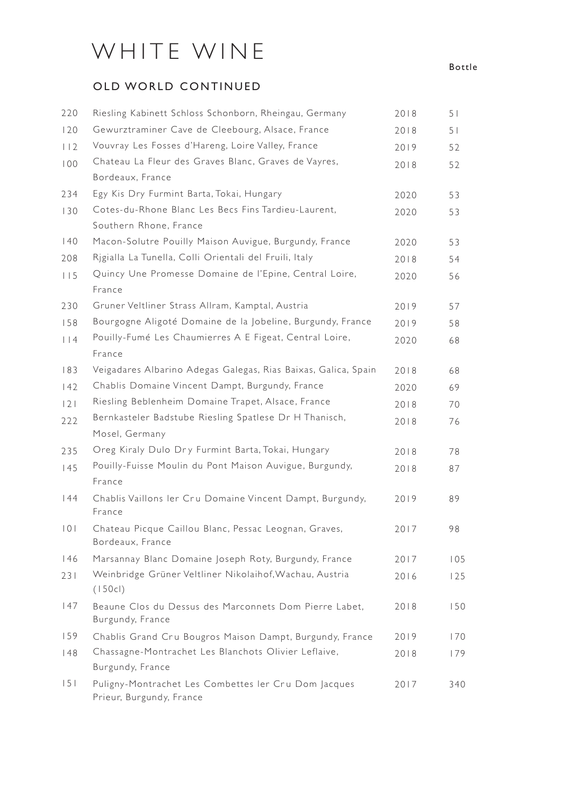# WHITE WINE

### OLD WORLD CONTINUED

| 220     | Riesling Kabinett Schloss Schonborn, Rheingau, Germany                           | 2018 | 51             |
|---------|----------------------------------------------------------------------------------|------|----------------|
| 120     | Gewurztraminer Cave de Cleebourg, Alsace, France                                 | 2018 | 5 <sub>1</sub> |
| 112     | Vouvray Les Fosses d'Hareng, Loire Valley, France                                | 2019 | 52             |
| 100     | Chateau La Fleur des Graves Blanc, Graves de Vayres,                             | 2018 | 52             |
|         | Bordeaux, France                                                                 |      |                |
| 234     | Egy Kis Dry Furmint Barta, Tokai, Hungary                                        | 2020 | 53             |
| 130     | Cotes-du-Rhone Blanc Les Becs Fins Tardieu-Laurent,                              | 2020 | 53             |
|         | Southern Rhone, France                                                           |      |                |
| 40      | Macon-Solutre Pouilly Maison Auvigue, Burgundy, France                           | 2020 | 53             |
| 208     | Rigialla La Tunella, Colli Orientali del Fruili, Italy                           | 2018 | 54             |
| 115     | Quincy Une Promesse Domaine de l'Epine, Central Loire,<br>France                 | 2020 | 56             |
| 230     | Gruner Veltliner Strass Allram, Kamptal, Austria                                 | 2019 | 57             |
| 158     | Bourgogne Aligoté Domaine de la Jobeline, Burgundy, France                       | 2019 | 58             |
| $ $   4 | Pouilly-Fumé Les Chaumierres A E Figeat, Central Loire,<br>France                | 2020 | 68             |
| 183     | Veigadares Albarino Adegas Galegas, Rias Baixas, Galica, Spain                   | 2018 | 68             |
| 142     | Chablis Domaine Vincent Dampt, Burgundy, France                                  | 2020 | 69             |
| 2       | Riesling Beblenheim Domaine Trapet, Alsace, France                               | 2018 | 70             |
| 222     | Bernkasteler Badstube Riesling Spatlese Dr H Thanisch,                           | 2018 | 76             |
|         | Mosel, Germany                                                                   |      |                |
| 235     | Oreg Kiraly Dulo Dry Furmint Barta, Tokai, Hungary                               | 2018 | 78             |
| 145     | Pouilly-Fuisse Moulin du Pont Maison Auvigue, Burgundy,                          | 2018 | 87             |
|         | France                                                                           |      |                |
| 44      | Chablis Vaillons ler Cru Domaine Vincent Dampt, Burgundy,<br>France              | 2019 | 89             |
| 101     | Chateau Picque Caillou Blanc, Pessac Leognan, Graves,<br>Bordeaux, France        | 2017 | 98             |
| 146     | Marsannay Blanc Domaine Joseph Roty, Burgundy, France                            | 2017 | 105            |
| 231     | Weinbridge Grüner Veltliner Nikolaihof, Wachau, Austria                          | 2016 | 125            |
|         | (150c)                                                                           |      |                |
| 147     | Beaune Clos du Dessus des Marconnets Dom Pierre Labet,<br>Burgundy, France       | 2018 | 150            |
| 159     | Chablis Grand Cru Bougros Maison Dampt, Burgundy, France                         | 2019 | 170            |
| 48      | Chassagne-Montrachet Les Blanchots Olivier Leflaive,                             | 2018 | 179            |
|         | Burgundy, France                                                                 |      |                |
| 151     | Puligny-Montrachet Les Combettes ler Cru Dom Jacques<br>Prieur, Burgundy, France | 2017 | 340            |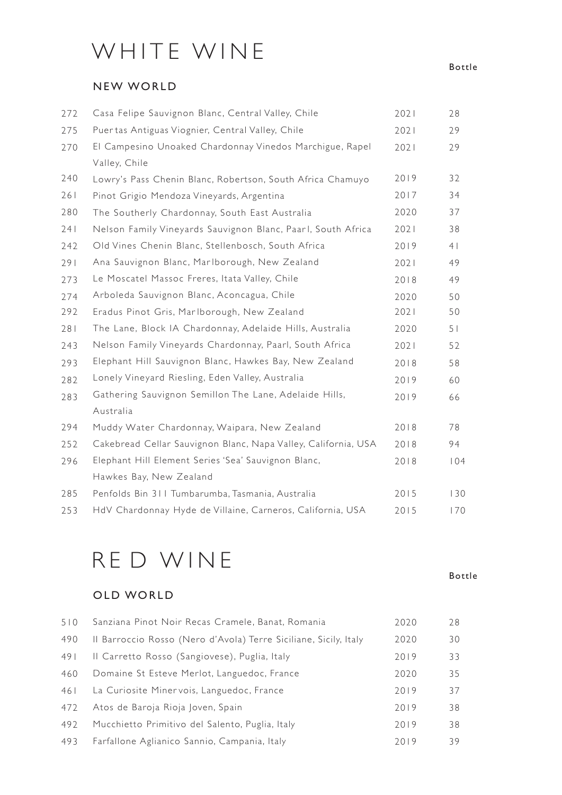# WHITE WINE

### NEW WORLD

| 272 | Casa Felipe Sauvignon Blanc, Central Valley, Chile             | 2021 | 28             |
|-----|----------------------------------------------------------------|------|----------------|
| 275 | Puertas Antiguas Viognier, Central Valley, Chile               | 2021 | 29             |
| 270 | El Campesino Unoaked Chardonnay Vinedos Marchigue, Rapel       | 2021 | 29             |
|     | Valley, Chile                                                  |      |                |
| 240 | Lowry's Pass Chenin Blanc, Robertson, South Africa Chamuyo     | 2019 | 32             |
| 261 | Pinot Grigio Mendoza Vineyards, Argentina                      | 2017 | 34             |
| 280 | The Southerly Chardonnay, South East Australia                 | 2020 | 37             |
| 241 | Nelson Family Vineyards Sauvignon Blanc, Paarl, South Africa   | 2021 | 38             |
| 242 | Old Vines Chenin Blanc, Stellenbosch, South Africa             | 2019 | 4              |
| 291 | Ana Sauvignon Blanc, Marlborough, New Zealand                  | 2021 | 49             |
| 273 | Le Moscatel Massoc Freres, Itata Valley, Chile                 | 2018 | 49             |
| 274 | Arboleda Sauvignon Blanc, Aconcagua, Chile                     | 2020 | 50             |
| 292 | Eradus Pinot Gris, Marlborough, New Zealand                    | 2021 | 50             |
| 281 | The Lane, Block IA Chardonnay, Adelaide Hills, Australia       | 2020 | 5 <sub>1</sub> |
| 243 | Nelson Family Vineyards Chardonnay, Paarl, South Africa        | 2021 | 52             |
| 293 | Elephant Hill Sauvignon Blanc, Hawkes Bay, New Zealand         | 2018 | 58             |
| 282 | Lonely Vineyard Riesling, Eden Valley, Australia               | 2019 | 60             |
| 283 | Gathering Sauvignon Semillon The Lane, Adelaide Hills,         | 2019 | 66             |
|     | Australia                                                      |      |                |
| 294 | Muddy Water Chardonnay, Waipara, New Zealand                   | 2018 | 78             |
| 252 | Cakebread Cellar Sauvignon Blanc, Napa Valley, California, USA | 2018 | 94             |
| 296 | Elephant Hill Element Series 'Sea' Sauvignon Blanc,            | 2018 | 104            |
|     | Hawkes Bay, New Zealand                                        |      |                |
| 285 | Penfolds Bin 311 Tumbarumba, Tasmania, Australia               | 2015 | 130            |
| 253 | HdV Chardonnay Hyde de Villaine, Carneros, California, USA     | 2015 | 170            |

## R E D WINE

### OLD WORLD

| 510 | Sanziana Pinot Noir Recas Cramele, Banat, Romania                | 2020 | 28 |
|-----|------------------------------------------------------------------|------|----|
| 490 | Il Barroccio Rosso (Nero d'Avola) Terre Siciliane, Sicily, Italy | 2020 | 30 |
| 491 | Il Carretto Rosso (Sangiovese), Puglia, Italy                    | 2019 | 33 |
| 460 | Domaine St Esteve Merlot, Languedoc, France                      | 2020 | 35 |
| 461 | La Curiosite Minervois, Languedoc, France                        | 2019 | 37 |
| 472 | Atos de Baroja Rioja Joven, Spain                                | 2019 | 38 |
| 492 | Mucchietto Primitivo del Salento, Puglia, Italy                  | 2019 | 38 |
| 493 | Farfallone Aglianico Sannio, Campania, Italy                     | 2019 | 39 |

Bottle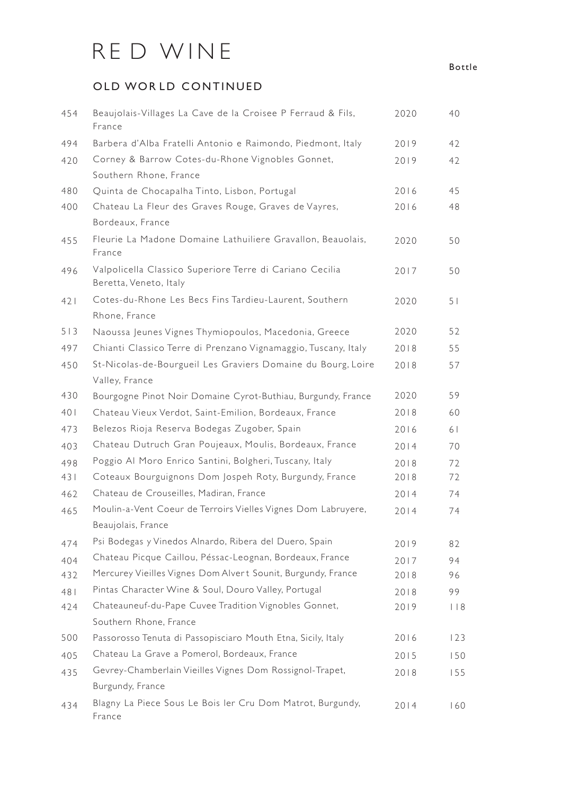# R E D WINE

### OLD WORLD CONTINUED

| 454 | Beaujolais-Villages La Cave de la Croisee P Ferraud & Fils,<br>France               | 2020 | 40             |
|-----|-------------------------------------------------------------------------------------|------|----------------|
| 494 | Barbera d'Alba Fratelli Antonio e Raimondo, Piedmont, Italy                         | 2019 | 42             |
| 420 | Corney & Barrow Cotes-du-Rhone Vignobles Gonnet,                                    | 2019 | 42             |
| 480 | Southern Rhone, France<br>Quinta de Chocapalha Tinto, Lisbon, Portugal              | 2016 | 45             |
|     | Chateau La Fleur des Graves Rouge, Graves de Vayres,                                | 2016 |                |
| 400 | Bordeaux, France                                                                    |      | 48             |
| 455 | Fleurie La Madone Domaine Lathuiliere Gravallon, Beauolais,<br>France               | 2020 | 50             |
| 496 | Valpolicella Classico Superiore Terre di Cariano Cecilia<br>Beretta, Veneto, Italy  | 2017 | 50             |
| 421 | Cotes-du-Rhone Les Becs Fins Tardieu-Laurent, Southern<br>Rhone, France             | 2020 | 5 <sub>1</sub> |
| 513 | Naoussa Jeunes Vignes Thymiopoulos, Macedonia, Greece                               | 2020 | 52             |
| 497 | Chianti Classico Terre di Prenzano Vignamaggio, Tuscany, Italy                      | 2018 | 55             |
| 450 | St-Nicolas-de-Bourgueil Les Graviers Domaine du Bourg, Loire<br>Valley, France      | 2018 | 57             |
| 430 | Bourgogne Pinot Noir Domaine Cyrot-Buthiau, Burgundy, France                        | 2020 | 59             |
| 401 | Chateau Vieux Verdot, Saint-Emilion, Bordeaux, France                               | 2018 | 60             |
| 473 | Belezos Rioja Reserva Bodegas Zugober, Spain                                        | 2016 | 61             |
| 403 | Chateau Dutruch Gran Poujeaux, Moulis, Bordeaux, France                             | 2014 | 70             |
| 498 | Poggio Al Moro Enrico Santini, Bolgheri, Tuscany, Italy                             | 2018 | 72             |
| 431 | Coteaux Bourguignons Dom Jospeh Roty, Burgundy, France                              | 2018 | 72             |
| 462 | Chateau de Crouseilles, Madiran, France                                             | 2014 | 74             |
| 465 | Moulin-a-Vent Coeur de Terroirs Vielles Vignes Dom Labruyere,<br>Beaujolais, France | 2014 | 74             |
| 474 | Psi Bodegas y Vinedos Alnardo, Ribera del Duero, Spain                              | 2019 | 82             |
| 404 | Chateau Picque Caillou, Péssac-Leognan, Bordeaux, France                            | 2017 | 94             |
| 432 | Mercurey Vieilles Vignes Dom Alvert Sounit, Burgundy, France                        | 2018 | 96             |
| 481 | Pintas Character Wine & Soul, Douro Valley, Portugal                                | 2018 | 99             |
| 424 | Chateauneuf-du-Pape Cuvee Tradition Vignobles Gonnet,                               | 2019 | $ $   $8$      |
|     | Southern Rhone, France                                                              |      |                |
| 500 | Passorosso Tenuta di Passopisciaro Mouth Etna, Sicily, Italy                        | 2016 | 123            |
| 405 | Chateau La Grave a Pomerol, Bordeaux, France                                        | 2015 | 150            |
| 435 | Gevrey-Chamberlain Vieilles Vignes Dom Rossignol-Trapet,                            | 2018 | 155            |
|     | Burgundy, France                                                                    |      |                |
| 434 | Blagny La Piece Sous Le Bois ler Cru Dom Matrot, Burgundy,<br>France                | 2014 | 160            |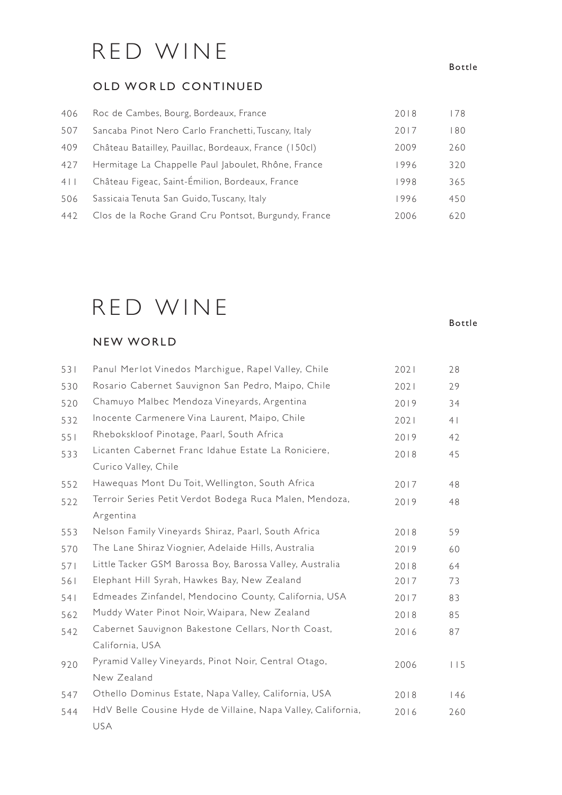## RED WINE

### OLD WORLD CONTINUED

| 406 | Roc de Cambes, Bourg, Bordeaux, France                | 2018 | 178 |
|-----|-------------------------------------------------------|------|-----|
| 507 | Sancaba Pinot Nero Carlo Franchetti, Tuscany, Italy   | 2017 | 180 |
| 409 | Château Batailley, Pauillac, Bordeaux, France (150cl) | 2009 | 260 |
| 427 | Hermitage La Chappelle Paul Jaboulet, Rhône, France   | 1996 | 320 |
| 4 1 | Château Figeac, Saint-Émilion, Bordeaux, France       | 1998 | 365 |
| 506 | Sassicaia Tenuta San Guido, Tuscany, Italy            | 1996 | 450 |
| 442 | Clos de la Roche Grand Cru Pontsot, Burgundy, France  | 2006 | 620 |

# RED WINE

### NEW WORLD

| 531 | Panul Merlot Vinedos Marchigue, Rapel Valley, Chile          | 2021 | 28  |
|-----|--------------------------------------------------------------|------|-----|
| 530 | Rosario Cabernet Sauvignon San Pedro, Maipo, Chile           | 2021 | 29  |
| 520 | Chamuyo Malbec Mendoza Vineyards, Argentina                  | 2019 | 34  |
| 532 | Inocente Carmenere Vina Laurent, Maipo, Chile                | 2021 | 4   |
| 551 | Rhebokskloof Pinotage, Paarl, South Africa                   | 2019 | 42  |
| 533 | Licanten Cabernet Franc Idahue Estate La Roniciere,          | 2018 | 45  |
|     | Curico Valley, Chile                                         |      |     |
| 552 | Hawequas Mont Du Toit, Wellington, South Africa              | 2017 | 48  |
| 522 | Terroir Series Petit Verdot Bodega Ruca Malen, Mendoza,      | 2019 | 48  |
|     | Argentina                                                    |      |     |
| 553 | Nelson Family Vineyards Shiraz, Paarl, South Africa          | 2018 | 59  |
| 570 | The Lane Shiraz Viognier, Adelaide Hills, Australia          | 2019 | 60  |
| 571 | Little Tacker GSM Barossa Boy, Barossa Valley, Australia     | 2018 | 64  |
| 561 | Elephant Hill Syrah, Hawkes Bay, New Zealand                 | 2017 | 73  |
| 541 | Edmeades Zinfandel, Mendocino County, California, USA        | 2017 | 83  |
| 562 | Muddy Water Pinot Noir, Waipara, New Zealand                 | 2018 | 85  |
| 542 | Cabernet Sauvignon Bakestone Cellars, North Coast,           | 2016 | 87  |
|     | California, USA                                              |      |     |
| 920 | Pyramid Valley Vineyards, Pinot Noir, Central Otago,         | 2006 | 115 |
|     | New Zealand                                                  |      |     |
| 547 | Othello Dominus Estate, Napa Valley, California, USA         | 2018 | 146 |
| 544 | HdV Belle Cousine Hyde de Villaine, Napa Valley, California, | 2016 | 260 |
|     | USA                                                          |      |     |

#### Bottle

Bottle